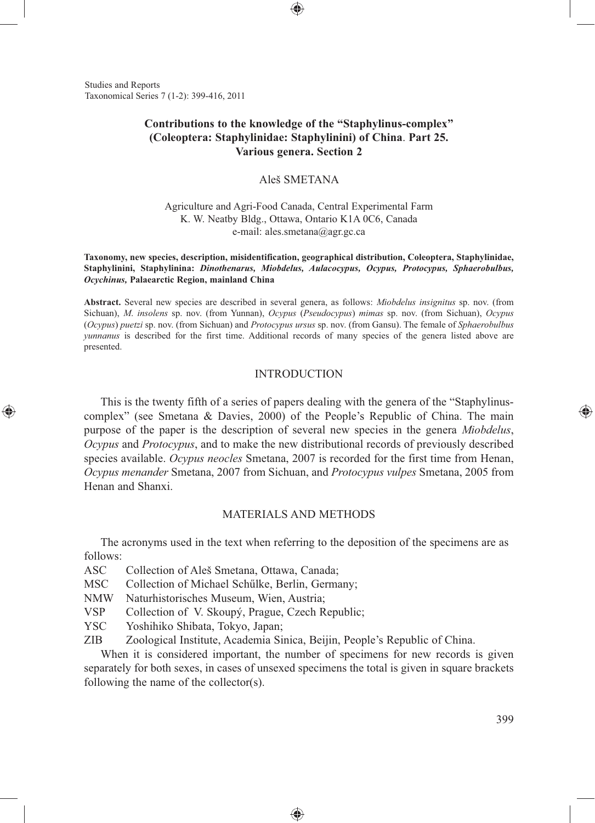Studies and Reports Taxonomical Series 7 (1-2): 399-416, 2011

# **Contributions to the knowledge of the "Staphylinus-complex" (Coleoptera: Staphylinidae: Staphylinini) of China**. **Part 25. Various genera. Section 2**

⊕

# Aleš SMETANA

Agriculture and Agri-Food Canada, Central Experimental Farm K. W. Neatby Bldg., Ottawa, Ontario K1A 0C6, Canada e-mail: ales.smetana@agr.gc.ca

**Taxonomy, new species, description, misidentification, geographical distribution, Coleoptera, Staphylinidae, Staphylinini, Staphylinina:** *Dinothenarus, Miobdelus, Aulacocypus, Ocypus, Protocypus, Sphaerobulbus, Ocychinus,* **Palaearctic Region, mainland China**

**Abstract.** Several new species are described in several genera, as follows: *Miobdelus insignitus* sp. nov. (from Sichuan), *M*. *insolens* sp. nov. (from Yunnan), *Ocypus* (*Pseudocypus*) *mimas* sp. nov. (from Sichuan), *Ocypus*  (*Ocypus*) *puetzi* sp. nov. (from Sichuan) and *Protocypus ursus* sp. nov. (from Gansu). The female of *Sphaerobulbus yunnanus* is described for the first time. Additional records of many species of the genera listed above are presented.

### INTRODUCTION

This is the twenty fifth of a series of papers dealing with the genera of the "Staphylinuscomplex" (see Smetana & Davies, 2000) of the People's Republic of China. The main purpose of the paper is the description of several new species in the genera *Miobdelus*, *Ocypus* and *Protocypus*, and to make the new distributional records of previously described species available. *Ocypus neocles* Smetana, 2007 is recorded for the first time from Henan, *Ocypus menander* Smetana, 2007 from Sichuan, and *Protocypus vulpes* Smetana, 2005 from Henan and Shanxi.

#### MATERIALS AND METHODS

The acronyms used in the text when referring to the deposition of the specimens are as follows:

ASC Collection of Aleš Smetana, Ottawa, Canada;

MSC Collection of Michael Schűlke, Berlin, Germany;

NMW Naturhistorisches Museum, Wien, Austria;

VSP Collection of V. Skoupý, Prague, Czech Republic;

YSC Yoshihiko Shibata, Tokyo, Japan;

⊕

ZIB Zoological Institute, Academia Sinica, Beijin, People's Republic of China.

When it is considered important, the number of specimens for new records is given separately for both sexes, in cases of unsexed specimens the total is given in square brackets following the name of the collector(s).

◈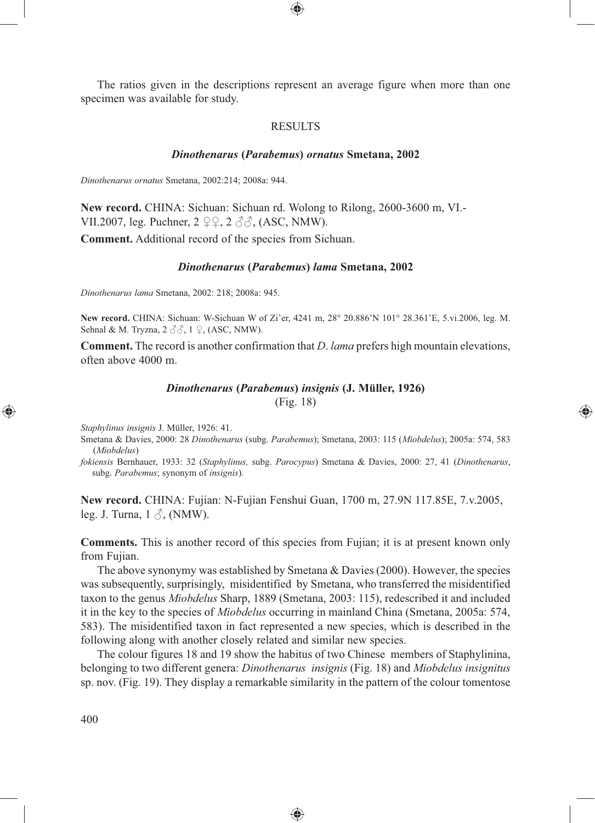The ratios given in the descriptions represent an average figure when more than one specimen was available for study.

⊕

## **RESULTS**

#### *Dinothenarus* **(***Parabemus***)** *ornatus* **Smetana, 2002**

*Dinothenarus ornatus* Smetana, 2002:214; 2008a: 944.

**New record.** CHINA: Sichuan: Sichuan rd. Wolong to Rilong, 2600-3600 m, VI.- VII.2007, leg. Puchner,  $2 \nsubseteq \mathcal{Q}, 2 \nsubseteq \mathcal{Z}, (ASC, NMW).$ 

**Comment.** Additional record of the species from Sichuan.

#### *Dinothenarus* **(***Parabemus***)** *lama* **Smetana, 2002**

*Dinothenarus lama* Smetana, 2002: 218; 2008a: 945.

**New record.** CHINA: Sichuan: W-Sichuan W of Zi'er, 4241 m, 28° 20.886'N 101° 28.361'E, 5.vi.2006, leg. M. Sehnal & M. Tryzna,  $2 \text{ } \partial \partial$ ,  $1 \text{ } \partial$ , (ASC, NMW).

**Comment.** The record is another confirmation that *D*. *lama* prefers high mountain elevations, often above 4000 m.

#### *Dinothenarus* **(***Parabemus***)** *insignis* **(J. Müller, 1926)**

(Fig. 18)

⊕

*Staphylinus insignis* J. Müller, 1926: 41.

Sm etana & Davies, 2000: 28 *Dinothenarus* (subg. *Parabemus*); Smetana, 2003: 115 (*Miobdelus*); 2005a: 574, 583 (*Miobdelus*)

*fok iensis* Bernhauer, 1933: 32 (*Staphylinus,* subg. *Parocypus*) Smetana & Davies, 2000: 27, 41 (*Dinothenarus*, subg. *Parabemus*; synonym of *insignis*).

**New record.** CHINA: Fujian: N-Fujian Fenshui Guan, 1700 m, 27.9N 117.85E, 7.v.2005, leg. J. Turna,  $1 \land$ . (NMW).

**Comments.** This is another record of this species from Fujian; it is at present known only from Fujian.

The above synonymy was established by Smetana & Davies (2000). However, the species was subsequently, surprisingly, misidentified by Smetana, who transferred the misidentified taxon to the genus *Miobdelus* Sharp, 1889 (Smetana, 2003: 115), redescribed it and included it in the key to the species of *Miobdelus* occurring in mainland China (Smetana, 2005a: 574, 583). The misidentified taxon in fact represented a new species, which is described in the following along with another closely related and similar new species.

The colour figures 18 and 19 show the habitus of two Chinese members of Staphylinina, belonging to two different genera: *Dinothenarus insignis* (Fig. 18) and *Miobdelus insignitus*  sp. nov. (Fig. 19). They display a remarkable similarity in the pattern of the colour tomentose

♠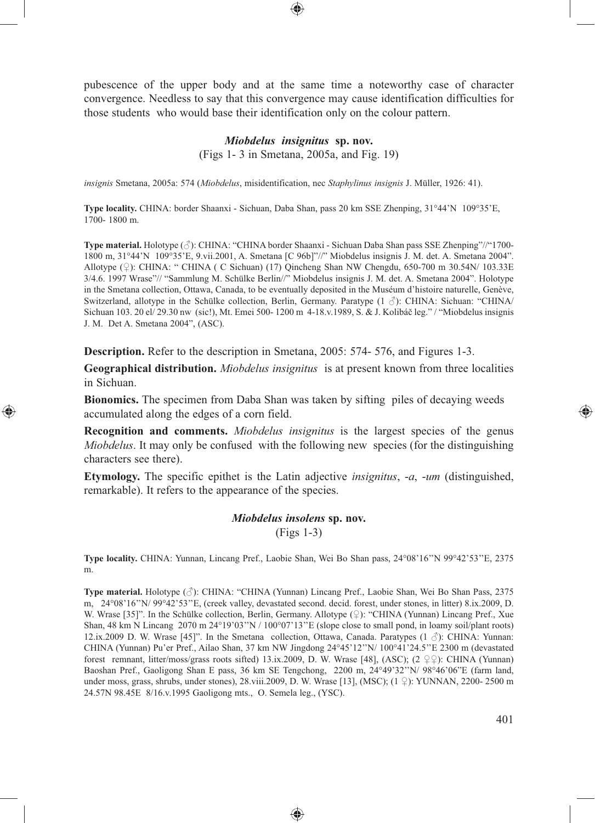pubescence of the upper body and at the same time a noteworthy case of character convergence. Needless to say that this convergence may cause identification difficulties for those students who would base their identification only on the colour pattern.

#### *Miobdelus insignitus* **sp. nov.**

(Figs 1- 3 in Smetana, 2005a, and Fig. 19)

*insignis* Smetana, 2005a: 574 (*Miobdelus*, misidentification, nec *Staphylinus insignis* J. Müller, 1926: 41).

**Type locality.** CHINA: border Shaanxi - Sichuan, Daba Shan, pass 20 km SSE Zhenping, 31°44'N 109°35'E, 1700- 1800 m.

**Type material.** Holotype (♂): CHINA: "CHINA border Shaanxi - Sichuan Daba Shan pass SSE Zhenping"//"1700- 1800 m, 31°44'N 109°35'E, 9.vii.2001, A. Smetana [C 96b]"//" Miobdelus insignis J. M. det. A. Smetana 2004". Allotype (♀): CHINA: " CHINA ( C Sichuan) (17) Qincheng Shan NW Chengdu, 650-700 m 30.54N/ 103.33E 3/4.6. 1997 Wrase"// "Sammlung M. Schülke Berlin//" Miobdelus insignis J. M. det. A. Smetana 2004". Holotype in the Smetana collection, Ottawa, Canada, to be eventually deposited in the Muséum d'histoire naturelle, Genève, Switzerland, allotype in the Schülke collection, Berlin, Germany. Paratype  $(1 \text{ } \mathcal{S})$ : CHINA: Sichuan: "CHINA/ Sichuan 103. 20 el/ 29.30 nw (sic!), Mt. Emei 500- 1200 m 4-18.v.1989, S. & J. Kolibáč leg." / "Miobdelus insignis J. M. Det A. Smetana 2004", (ASC).

**Description.** Refer to the description in Smetana, 2005: 574- 576, and Figures 1-3.

⊕

**Geographical distribution.** *Miobdelus insignitus* is at present known from three localities in Sichuan.

**Bionomics.** The specimen from Daba Shan was taken by sifting piles of decaying weeds accumulated along the edges of a corn field.

**Recognition and comments.** *Miobdelus insignitus* is the largest species of the genus *Miobdelus*. It may only be confused with the following new species (for the distinguishing characters see there).

**Etymology.** The specific epithet is the Latin adjective *insignitus*, -*a*, -*um* (distinguished, remarkable). It refers to the appearance of the species.

> *Miobdelus insolens* **sp. nov.** (Figs 1-3)

**Type locality.** CHINA: Yunnan, Lincang Pref., Laobie Shan, Wei Bo Shan pass, 24°08'16''N 99°42'53''E, 2375 m.

**Type material.** Holotype (♂): CHINA: "CHINA (Yunnan) Lincang Pref., Laobie Shan, Wei Bo Shan Pass, 2375 m, 24°08'16''N/ 99°42'53''E, (creek valley, devastated second. decid. forest, under stones, in litter) 8.ix.2009, D. W. Wrase [35]". In the Schülke collection, Berlin, Germany. Allotype (♀): "CHINA (Yunnan) Lincang Pref., Xue Shan, 48 km N Lincang 2070 m 24°19'03''N / 100°07'13''E (slope close to small pond, in loamy soil/plant roots) 12.ix.2009 D. W. Wrase [45]". In the Smetana collection, Ottawa, Canada. Paratypes (1 ♂): CHINA: Yunnan: CHINA (Yunnan) Pu'er Pref., Ailao Shan, 37 km NW Jingdong 24°45'12''N/ 100°41'24.5''E 2300 m (devastated forest remnant, litter/moss/grass roots sifted) 13.ix.2009, D. W. Wrase [48], (ASC); (2  $9$ ): CHINA (Yunnan) Baoshan Pref., Gaoligong Shan E pass, 36 km SE Tengchong, 2200 m, 24°49'32''N/ 98°46'06"E (farm land, under moss, grass, shrubs, under stones), 28.viii.2009, D. W. Wrase [13], (MSC); (1  $\downarrow$ ): YUNNAN, 2200- 2500 m 24.57N 98.45E 8/16.v.1995 Gaoligong mts., O. Semela leg., (YSC).

⊕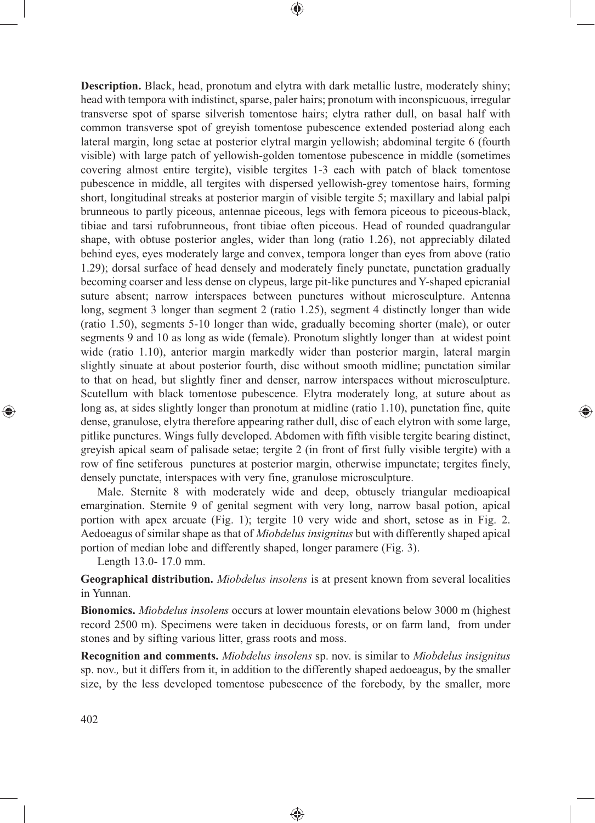**Description.** Black, head, pronotum and elytra with dark metallic lustre, moderately shiny; head with tempora with indistinct, sparse, paler hairs; pronotum with inconspicuous, irregular transverse spot of sparse silverish tomentose hairs; elytra rather dull, on basal half with common transverse spot of greyish tomentose pubescence extended posteriad along each lateral margin, long setae at posterior elytral margin yellowish; abdominal tergite 6 (fourth visible) with large patch of yellowish-golden tomentose pubescence in middle (sometimes covering almost entire tergite), visible tergites 1-3 each with patch of black tomentose pubescence in middle, all tergites with dispersed yellowish-grey tomentose hairs, forming short, longitudinal streaks at posterior margin of visible tergite 5; maxillary and labial palpi brunneous to partly piceous, antennae piceous, legs with femora piceous to piceous-black, tibiae and tarsi rufobrunneous, front tibiae often piceous. Head of rounded quadrangular shape, with obtuse posterior angles, wider than long (ratio 1.26), not appreciably dilated behind eyes, eyes moderately large and convex, tempora longer than eyes from above (ratio 1.29); dorsal surface of head densely and moderately finely punctate, punctation gradually becoming coarser and less dense on clypeus, large pit-like punctures and Y-shaped epicranial suture absent; narrow interspaces between punctures without microsculpture. Antenna long, segment 3 longer than segment 2 (ratio 1.25), segment 4 distinctly longer than wide (ratio 1.50), segments 5-10 longer than wide, gradually becoming shorter (male), or outer segments 9 and 10 as long as wide (female). Pronotum slightly longer than at widest point wide (ratio 1.10), anterior margin markedly wider than posterior margin, lateral margin slightly sinuate at about posterior fourth, disc without smooth midline; punctation similar to that on head, but slightly finer and denser, narrow interspaces without microsculpture. Scutellum with black tomentose pubescence. Elytra moderately long, at suture about as long as, at sides slightly longer than pronotum at midline (ratio 1.10), punctation fine, quite dense, granulose, elytra therefore appearing rather dull, disc of each elytron with some large, pitlike punctures. Wings fully developed. Abdomen with fifth visible tergite bearing distinct, greyish apical seam of palisade setae; tergite 2 (in front of first fully visible tergite) with a row of fine setiferous punctures at posterior margin, otherwise impunctate; tergites finely, densely punctate, interspaces with very fine, granulose microsculpture.

⊕

Male. Sternite 8 with moderately wide and deep, obtusely triangular medioapical emargination. Sternite 9 of genital segment with very long, narrow basal potion, apical portion with apex arcuate (Fig. 1); tergite 10 very wide and short, setose as in Fig. 2. Aedoeagus of similar shape as that of *Miobdelus insignitus* but with differently shaped apical portion of median lobe and differently shaped, longer paramere (Fig. 3).

⊕

Length 13.0- 17.0 mm.

**Geographical distribution.** *Miobdelus insolens* is at present known from several localities in Yunnan.

**Bionomics.** *Miobdelus insolens* occurs at lower mountain elevations below 3000 m (highest record 2500 m). Specimens were taken in deciduous forests, or on farm land, from under stones and by sifting various litter, grass roots and moss.

**Recognition and comments.** *Miobdelus insolens* sp. nov. is similar to *Miobdelus insignitus*  sp. nov.*,* but it differs from it, in addition to the differently shaped aedoeagus, by the smaller size, by the less developed tomentose pubescence of the forebody, by the smaller, more

◈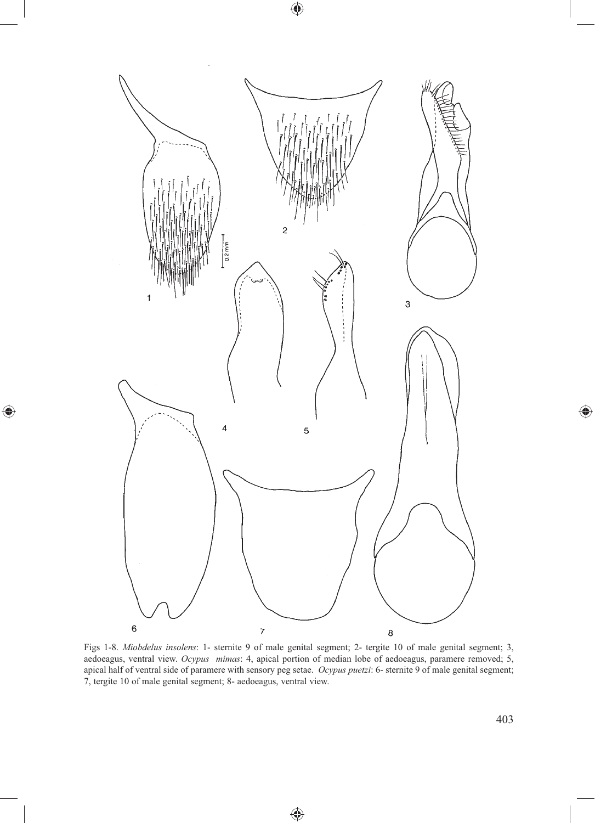

 $\bigoplus$ 

 $\bigoplus$ 

Figs 1-8. *Miobdelus insolens*: 1- sternite 9 of male genital segment; 2- tergite 10 of male genital segment; 3, aedoeagus, ventral view. *Ocypus mimas*: 4, apical portion of median lobe of aedoeagus, paramere removed; 5, apical half of ventral side of paramere with sensory peg setae. *Ocypus puetzi*: 6- sternite 9 of male genital segment; 7, tergite 10 of male genital segment; 8- aedoeagus, ventral view.

⊕

 $\bigoplus$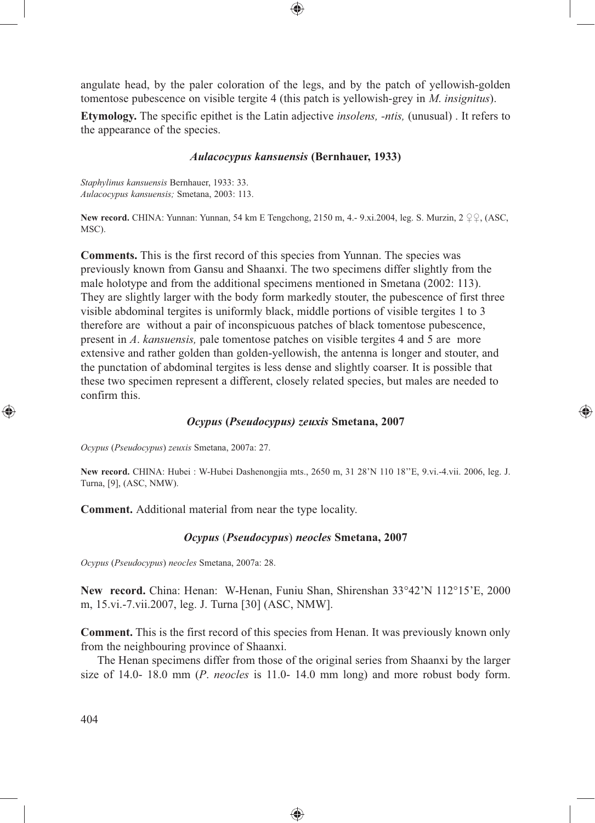angulate head, by the paler coloration of the legs, and by the patch of yellowish-golden tomentose pubescence on visible tergite 4 (this patch is yellowish-grey in *M*. *insignitus*).

⊕

**Etymology.** The specific epithet is the Latin adjective *insolens, -ntis,* (unusual) . It refers to the appearance of the species.

## *Aulacocypus kansuensis* **(Bernhauer, 1933)**

*Staphylinus kansuensis* Bernhauer, 1933: 33. *Aulacocypus kansuensis;* Smetana, 2003: 113.

**New record.** CHINA: Yunnan: Yunnan, 54 km E Tengchong, 2150 m, 4.- 9.xi.2004, leg. S. Murzin, 2 ♀♀, (ASC, MSC).

**Comments.** This is the first record of this species from Yunnan. The species was previously known from Gansu and Shaanxi. The two specimens differ slightly from the male holotype and from the additional specimens mentioned in Smetana (2002: 113). They are slightly larger with the body form markedly stouter, the pubescence of first three visible abdominal tergites is uniformly black, middle portions of visible tergites 1 to 3 therefore are without a pair of inconspicuous patches of black tomentose pubescence, present in *A*. *kansuensis,* pale tomentose patches on visible tergites 4 and 5 are more extensive and rather golden than golden-yellowish, the antenna is longer and stouter, and the punctation of abdominal tergites is less dense and slightly coarser. It is possible that these two specimen represent a different, closely related species, but males are needed to confirm this.

## *Ocypus* **(***Pseudocypus) zeuxis* **Smetana, 2007**

⊕

*Ocypus* (*Pseudocypus*) *zeuxis* Smetana, 2007a: 27.

**New record.** CHINA: Hubei : W-Hubei Dashenongjia mts., 2650 m, 31 28'N 110 18''E, 9.vi.-4.vii. 2006, leg. J. Turna, [9], (ASC, NMW).

**Comment.** Additional material from near the type locality.

#### *Ocypus* (*Pseudocypus*) *neocles* **Smetana, 2007**

*Ocypus* (*Pseudocypus*) *neocles* Smetana, 2007a: 28.

**New record.** China: Henan: W-Henan, Funiu Shan, Shirenshan 33°42'N 112°15'E, 2000 m, 15.vi.-7.vii.2007, leg. J. Turna [30] (ASC, NMW].

**Comment.** This is the first record of this species from Henan. It was previously known only from the neighbouring province of Shaanxi.

The Henan specimens differ from those of the original series from Shaanxi by the larger size of 14.0- 18.0 mm (*P*. *neocles* is 11.0- 14.0 mm long) and more robust body form.

◈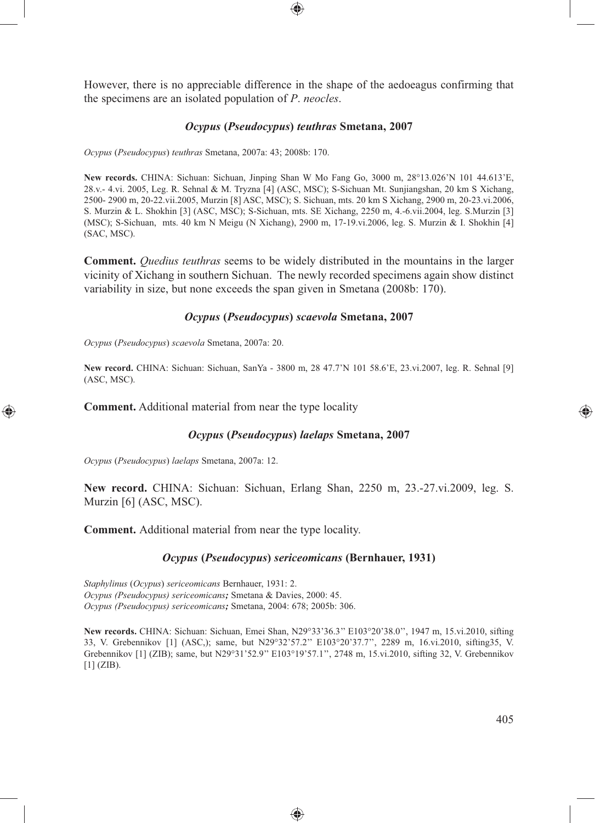However, there is no appreciable difference in the shape of the aedoeagus confirming that the specimens are an isolated population of *P*. *neocles*.

### *Ocypus* **(***Pseudocypus***)** *teuthras* **Smetana, 2007**

*Ocypus* (*Pseudocypus*) *teuthras* Smetana, 2007a: 43; 2008b: 170.

**New records.** CHINA: Sichuan: Sichuan, Jinping Shan W Mo Fang Go, 3000 m, 28°13.026'N 101 44.613'E, 28.v.- 4.vi. 2005, Leg. R. Sehnal & M. Tryzna [4] (ASC, MSC); S-Sichuan Mt. Sunjiangshan, 20 km S Xichang, 2500- 2900 m, 20-22.vii.2005, Murzin [8] ASC, MSC); S. Sichuan, mts. 20 km S Xichang, 2900 m, 20-23.vi.2006, S. Murzin & L. Shokhin [3] (ASC, MSC); S-Sichuan, mts. SE Xichang, 2250 m, 4.-6.vii.2004, leg. S.Murzin [3] (MSC); S-Sichuan, mts. 40 km N Meigu (N Xichang), 2900 m, 17-19.vi.2006, leg. S. Murzin & I. Shokhin [4] (SAC, MSC).

**Comment.** *Quedius teuthras* seems to be widely distributed in the mountains in the larger vicinity of Xichang in southern Sichuan. The newly recorded specimens again show distinct variability in size, but none exceeds the span given in Smetana (2008b: 170).

### *Ocypus* **(***Pseudocypus***)** *scaevola* **Smetana, 2007**

*Ocypus* (*Pseudocypus*) *scaevola* Smetana, 2007a: 20.

**New record.** CHINA: Sichuan: Sichuan, SanYa - 3800 m, 28 47.7'N 101 58.6'E, 23.vi.2007, leg. R. Sehnal [9] (ASC, MSC).

**Comment.** Additional material from near the type locality

#### *Ocypus* **(***Pseudocypus***)** *laelaps* **Smetana, 2007**

*Ocypus* (*Pseudocypus*) *laelaps* Smetana, 2007a: 12.

⊕

**New record.** CHINA: Sichuan: Sichuan, Erlang Shan, 2250 m, 23.-27.vi.2009, leg. S. Murzin [6] (ASC, MSC).

**Comment.** Additional material from near the type locality.

#### *Ocypus* **(***Pseudocypus***)** *sericeomicans* **(Bernhauer, 1931)**

*Staphylinus* (*Ocypus*) *sericeomicans* Bernhauer, 1931: 2. *Ocypus (Pseudocypus) sericeomicans;* Smetana & Davies, 2000: 45. *Ocypus (Pseudocypus) sericeomicans;* Smetana, 2004: 678; 2005b: 306.

**New records.** CHINA: Sichuan: Sichuan, Emei Shan, N29°33'36.3'' E103°20'38.0'', 1947 m, 15.vi.2010, sifting 33, V. Grebennikov [1] (ASC,); same, but N29°32'57.2'' E103°20'37.7'', 2289 m, 16.vi.2010, sifting35, V. Grebennikov [1] (ZIB); same, but N29°31'52.9'' E103°19'57.1'', 2748 m, 15.vi.2010, sifting 32, V. Grebennikov [1] (ZIB).

◈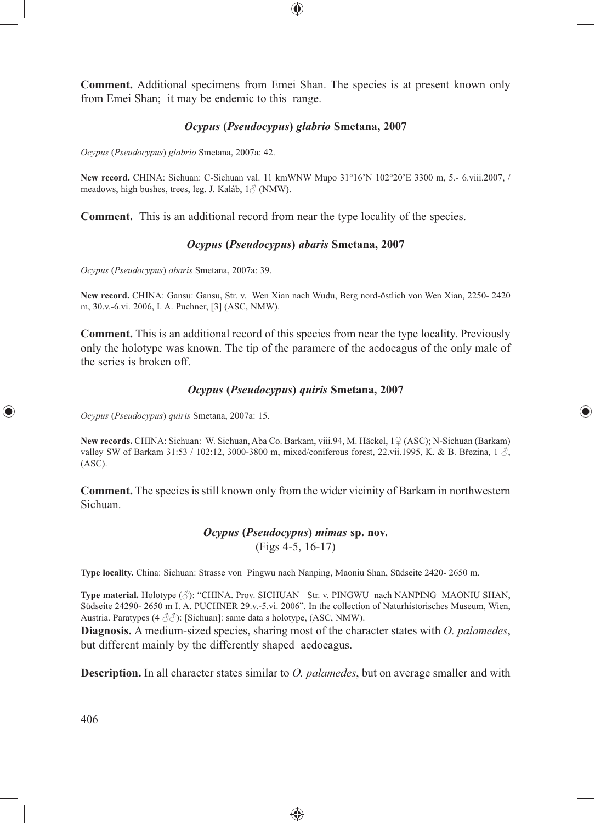**Comment.** Additional specimens from Emei Shan. The species is at present known only from Emei Shan; it may be endemic to this range.

⊕

## *Ocypus* **(***Pseudocypus***)** *glabrio* **Smetana, 2007**

*Ocypus* (*Pseudocypus*) *glabrio* Smetana, 2007a: 42.

**New record.** CHINA: Sichuan: C-Sichuan val. 11 kmWNW Mupo 31°16'N 102°20'E 3300 m, 5.- 6.viii.2007, / meadows, high bushes, trees, leg. J. Kaláb, 1♂ (NMW).

**Comment.** This is an additional record from near the type locality of the species.

### *Ocypus* **(***Pseudocypus***)** *abaris* **Smetana, 2007**

*Ocypus* (*Pseudocypus*) *abaris* Smetana, 2007a: 39.

**New record.** CHINA: Gansu: Gansu, Str. v. Wen Xian nach Wudu, Berg nord-östlich von Wen Xian, 2250- 2420 m, 30.v.-6.vi. 2006, I. A. Puchner, [3] (ASC, NMW).

**Comment.** This is an additional record of this species from near the type locality. Previously only the holotype was known. The tip of the paramere of the aedoeagus of the only male of the series is broken off.

### *Ocypus* **(***Pseudocypus***)** *quiris* **Smetana, 2007**

⊕

*Ocypus* (*Pseudocypus*) *quiris* Smetana, 2007a: 15.

**New records.** CHINA: Sichuan: W. Sichuan, Aba Co. Barkam, viii.94, M. Häckel, 1♀ (ASC); N-Sichuan (Barkam) valley SW of Barkam 31:53 / 102:12, 3000-3800 m, mixed/coniferous forest, 22.vii.1995, K. & B. Březina, 1  $\Im$ , (ASC).

**Comment.** The species is still known only from the wider vicinity of Barkam in northwestern Sichuan.

# *Ocypus* **(***Pseudocypus***)** *mimas* **sp. nov.** (Figs 4-5, 16-17)

**Type locality.** China: Sichuan: Strasse von Pingwu nach Nanping, Maoniu Shan, Südseite 2420- 2650 m.

**Type material.** Holotype (♂): "CHINA. Prov. SICHUAN Str. v. PINGWU nach NANPING MAONIU SHAN, Südseite 24290- 2650 m I. A. PUCHNER 29.v.-5.vi. 2006". In the collection of Naturhistorisches Museum, Wien, Austria. Paratypes (4 ♂♂): [Sichuan]: same data s holotype, (ASC, NMW).

**Diagnosis.** A medium-sized species, sharing most of the character states with *O. palamedes*, but different mainly by the differently shaped aedoeagus.

**Description.** In all character states similar to *O. palamedes*, but on average smaller and with

◈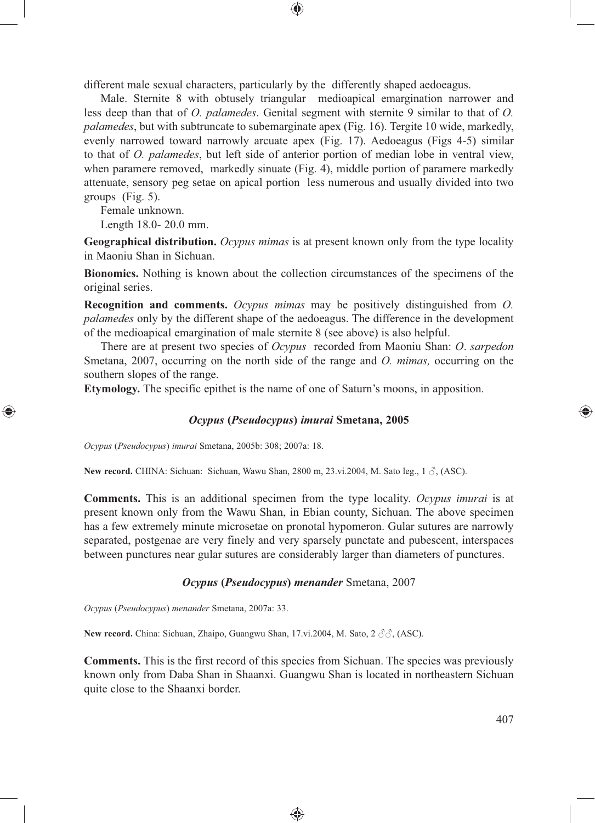different male sexual characters, particularly by the differently shaped aedoeagus.

Male. Sternite 8 with obtusely triangular medioapical emargination narrower and less deep than that of *O. palamedes*. Genital segment with sternite 9 similar to that of *O. palamedes*, but with subtruncate to subemarginate apex (Fig. 16). Tergite 10 wide, markedly, evenly narrowed toward narrowly arcuate apex (Fig. 17). Aedoeagus (Figs 4-5) similar to that of *O. palamedes*, but left side of anterior portion of median lobe in ventral view, when paramere removed, markedly sinuate (Fig. 4), middle portion of paramere markedly attenuate, sensory peg setae on apical portion less numerous and usually divided into two groups (Fig. 5).

⊕

Female unknown.

⊕

Length 18.0- 20.0 mm.

**Geographical distribution.** *Ocypus mimas* is at present known only from the type locality in Maoniu Shan in Sichuan.

**Bionomics.** Nothing is known about the collection circumstances of the specimens of the original series.

**Recognition and comments.** *Ocypus mimas* may be positively distinguished from *O. palamedes* only by the different shape of the aedoeagus. The difference in the development of the medioapical emargination of male sternite 8 (see above) is also helpful.

There are at present two species of *Ocypus* recorded from Maoniu Shan: *O*. *sarpedon* Smetana, 2007, occurring on the north side of the range and *O. mimas*, occurring on the southern slopes of the range.

**Etymology.** The specific epithet is the name of one of Saturn's moons, in apposition.

## *Ocypus* **(***Pseudocypus***)** *imurai* **Smetana, 2005**

*Ocypus* (*Pseudocypus*) *imurai* Smetana, 2005b: 308; 2007a: 18.

**New record.** CHINA: Sichuan: Sichuan, Wawu Shan, 2800 m, 23.vi.2004, M. Sato leg., 1 ♂, (ASC).

**Comments.** This is an additional specimen from the type locality. *Ocypus imurai* is at present known only from the Wawu Shan, in Ebian county, Sichuan. The above specimen has a few extremely minute microsetae on pronotal hypomeron. Gular sutures are narrowly separated, postgenae are very finely and very sparsely punctate and pubescent, interspaces between punctures near gular sutures are considerably larger than diameters of punctures.

#### *Ocypus* **(***Pseudocypus***)** *menander* Smetana, 2007

*Ocypus* (*Pseudocypus*) *menander* Smetana, 2007a: 33.

**New record.** China: Sichuan, Zhaipo, Guangwu Shan, 17.vi.2004, M. Sato, 2 ♂♂, (ASC).

**Comments.** This is the first record of this species from Sichuan. The species was previously known only from Daba Shan in Shaanxi. Guangwu Shan is located in northeastern Sichuan quite close to the Shaanxi border.

◈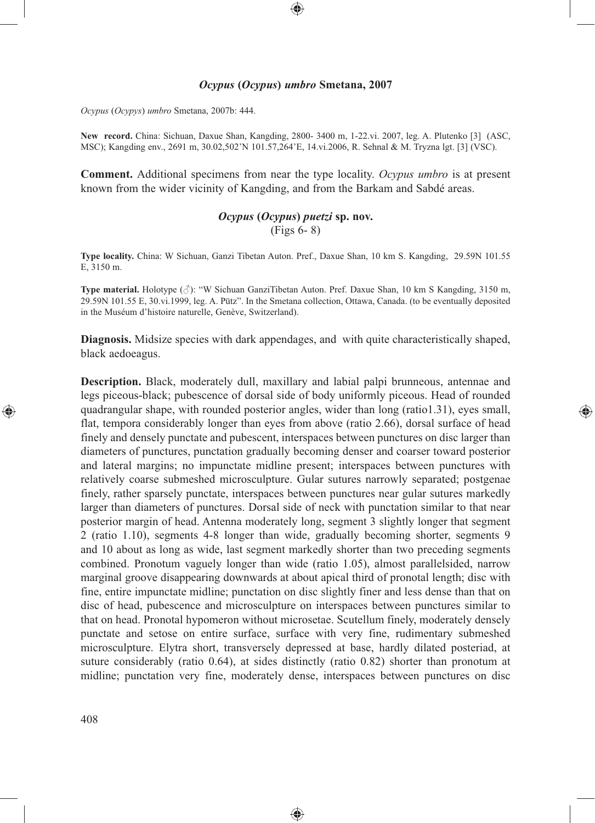# *Ocypus* **(***Ocypus***)** *umbro* **Smetana, 2007**

⊕

*Ocypus* (*Ocypys*) *umbro* Smetana, 2007b: 444.

**New record.** China: Sichuan, Daxue Shan, Kangding, 2800- 3400 m, 1-22.vi. 2007, leg. A. Plutenko [3] (ASC, MSC); Kangding env., 2691 m, 30.02,502'N 101.57,264'E, 14.vi.2006, R. Sehnal & M. Tryzna lgt. [3] (VSC).

**Comment.** Additional specimens from near the type locality. *Ocypus umbro* is at present known from the wider vicinity of Kangding, and from the Barkam and Sabdé areas.

# *Ocypus* **(***Ocypus***)** *puetzi* **sp. nov.** (Figs 6- 8)

**Type locality.** China: W Sichuan, Ganzi Tibetan Auton. Pref., Daxue Shan, 10 km S. Kangding, 29.59N 101.55 E, 3150 m.

**Type material.** Holotype (♂): "W Sichuan GanziTibetan Auton. Pref. Daxue Shan, 10 km S Kangding, 3150 m, 29.59N 101.55 E, 30.vi.1999, leg. A. Pütz". In the Smetana collection, Ottawa, Canada. (to be eventually deposited in the Muséum d'histoire naturelle, Genève, Switzerland).

**Diagnosis.** Midsize species with dark appendages, and with quite characteristically shaped, black aedoeagus.

⊕

**Description.** Black, moderately dull, maxillary and labial palpi brunneous, antennae and legs piceous-black; pubescence of dorsal side of body uniformly piceous. Head of rounded quadrangular shape, with rounded posterior angles, wider than long (ratio1.31), eyes small, flat, tempora considerably longer than eyes from above (ratio 2.66), dorsal surface of head finely and densely punctate and pubescent, interspaces between punctures on disc larger than diameters of punctures, punctation gradually becoming denser and coarser toward posterior and lateral margins; no impunctate midline present; interspaces between punctures with relatively coarse submeshed microsculpture. Gular sutures narrowly separated; postgenae finely, rather sparsely punctate, interspaces between punctures near gular sutures markedly larger than diameters of punctures. Dorsal side of neck with punctation similar to that near posterior margin of head. Antenna moderately long, segment 3 slightly longer that segment 2 (ratio 1.10), segments 4-8 longer than wide, gradually becoming shorter, segments 9 and 10 about as long as wide, last segment markedly shorter than two preceding segments combined. Pronotum vaguely longer than wide (ratio 1.05), almost parallelsided, narrow marginal groove disappearing downwards at about apical third of pronotal length; disc with fine, entire impunctate midline; punctation on disc slightly finer and less dense than that on disc of head, pubescence and microsculpture on interspaces between punctures similar to that on head. Pronotal hypomeron without microsetae. Scutellum finely, moderately densely punctate and setose on entire surface, surface with very fine, rudimentary submeshed microsculpture. Elytra short, transversely depressed at base, hardly dilated posteriad, at suture considerably (ratio 0.64), at sides distinctly (ratio 0.82) shorter than pronotum at midline; punctation very fine, moderately dense, interspaces between punctures on disc

◈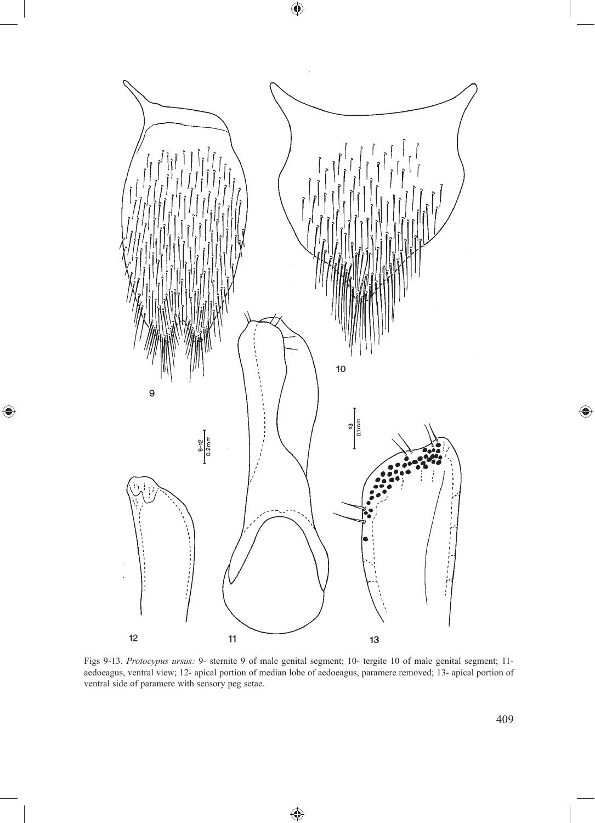

 $\bigoplus$ 

 $\bigoplus$ 

Figs 9-13. *Protocypus ursus:* 9- sternite 9 of male genital segment; 10- tergite 10 of male genital segment; 11 aedoeagus, ventral view; 12- apical portion of median lobe of aedoeagus, paramere removed; 13- apical portion of ventral side of paramere with sensory peg setae.

♠

 $\bigoplus$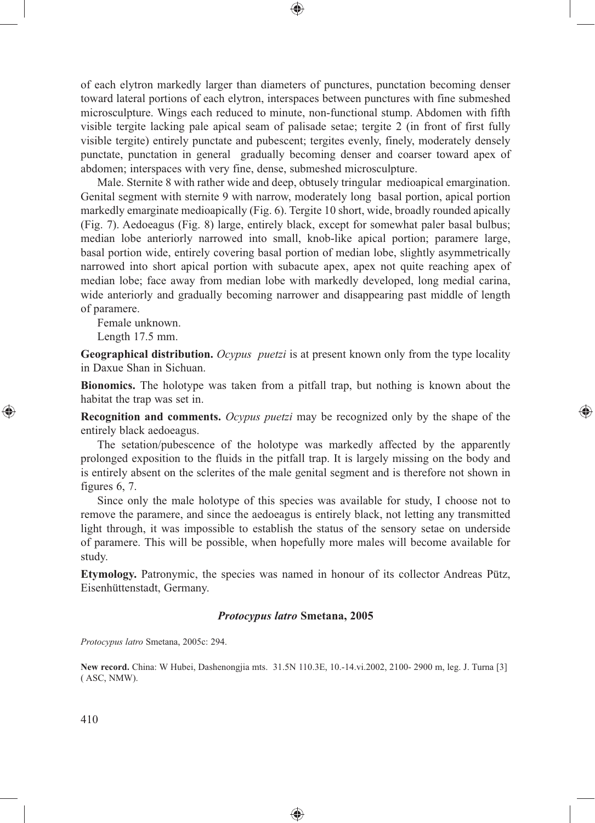of each elytron markedly larger than diameters of punctures, punctation becoming denser toward lateral portions of each elytron, interspaces between punctures with fine submeshed microsculpture. Wings each reduced to minute, non-functional stump. Abdomen with fifth visible tergite lacking pale apical seam of palisade setae; tergite 2 (in front of first fully visible tergite) entirely punctate and pubescent; tergites evenly, finely, moderately densely punctate, punctation in general gradually becoming denser and coarser toward apex of abdomen; interspaces with very fine, dense, submeshed microsculpture.

⊕

Male. Sternite 8 with rather wide and deep, obtusely tringular medioapical emargination. Genital segment with sternite 9 with narrow, moderately long basal portion, apical portion markedly emarginate medioapically (Fig. 6). Tergite 10 short, wide, broadly rounded apically (Fig. 7). Aedoeagus (Fig. 8) large, entirely black, except for somewhat paler basal bulbus; median lobe anteriorly narrowed into small, knob-like apical portion; paramere large, basal portion wide, entirely covering basal portion of median lobe, slightly asymmetrically narrowed into short apical portion with subacute apex, apex not quite reaching apex of median lobe; face away from median lobe with markedly developed, long medial carina, wide anteriorly and gradually becoming narrower and disappearing past middle of length of paramere.

Female unknown.

Length 17.5 mm.

**Geographical distribution.** *Ocypus puetzi* is at present known only from the type locality in Daxue Shan in Sichuan.

**Bionomics.** The holotype was taken from a pitfall trap, but nothing is known about the habitat the trap was set in.

⊕

**Recognition and comments.** *Ocypus puetzi* may be recognized only by the shape of the entirely black aedoeagus.

The setation/pubescence of the holotype was markedly affected by the apparently prolonged exposition to the fluids in the pitfall trap. It is largely missing on the body and is entirely absent on the sclerites of the male genital segment and is therefore not shown in figures 6, 7.

Since only the male holotype of this species was available for study, I choose not to remove the paramere, and since the aedoeagus is entirely black, not letting any transmitted light through, it was impossible to establish the status of the sensory setae on underside of paramere. This will be possible, when hopefully more males will become available for study.

**Etymology.** Patronymic, the species was named in honour of its collector Andreas Pütz, Eisenhüttenstadt, Germany.

#### *Protocypus latro* **Smetana, 2005**

*Protocypus latro* Smetana, 2005c: 294.

**New record.** China: W Hubei, Dashenongjia mts. 31.5N 110.3E, 10.-14.vi.2002, 2100- 2900 m, leg. J. Turna [3] ( ASC, NMW).

♠

410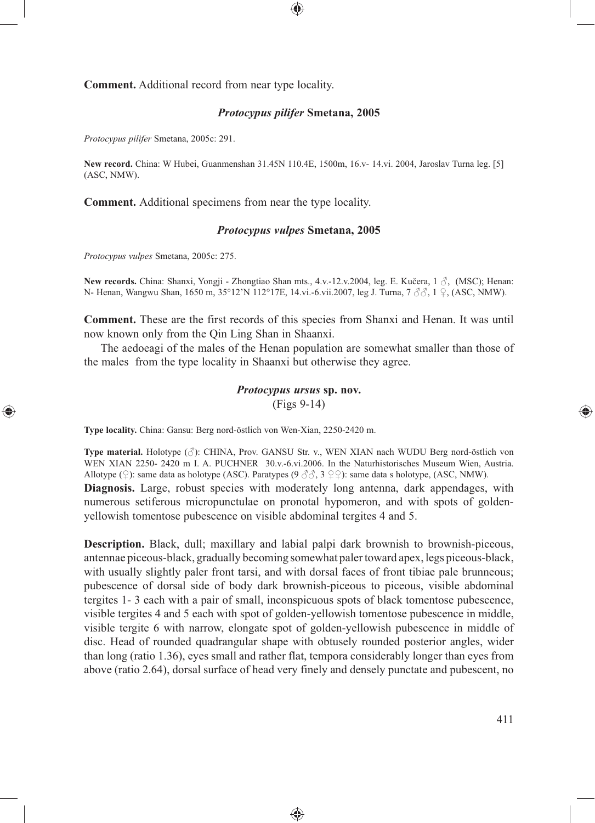**Comment.** Additional record from near type locality.

# *Protocypus pilifer* **Smetana, 2005**

⊕

*Protocypus pilifer* Smetana, 2005c: 291.

**New record.** China: W Hubei, Guanmenshan 31.45N 110.4E, 1500m, 16.v- 14.vi. 2004, Jaroslav Turna leg. [5] (ASC, NMW).

**Comment.** Additional specimens from near the type locality.

## *Protocypus vulpes* **Smetana, 2005**

*Protocypus vulpes* Smetana, 2005c: 275.

⊕

**New records.** China: Shanxi, Yongji - Zhongtiao Shan mts., 4.v.-12.v.2004, leg. E. Kučera, 1 ♂, (MSC); Henan: N- Henan, Wangwu Shan, 1650 m, 35°12'N 112°17E, 14.vi.-6.vii.2007, leg J. Turna, 7 ♂ ∂, 1 ♀, (ASC, NMW).

**Comment.** These are the first records of this species from Shanxi and Henan. It was until now known only from the Qin Ling Shan in Shaanxi.

The aedoeagi of the males of the Henan population are somewhat smaller than those of the males from the type locality in Shaanxi but otherwise they agree.

# *Protocypus ursus* **sp. nov.** (Figs 9-14)

**Type locality.** China: Gansu: Berg nord-östlich von Wen-Xian, 2250-2420 m.

**Type material.** Holotype (♂): CHINA, Prov. GANSU Str. v., WEN XIAN nach WUDU Berg nord-östlich von WEN XIAN 2250- 2420 m I. A. PUCHNER 30.v.-6.vi.2006. In the Naturhistorisches Museum Wien, Austria. Allotype (♀): same data as holotype (ASC). Paratypes (9  $\Im \Im$ , 3 °C): same data s holotype, (ASC, NMW). **Diagnosis.** Large, robust species with moderately long antenna, dark appendages, with numerous setiferous micropunctulae on pronotal hypomeron, and with spots of goldenyellowish tomentose pubescence on visible abdominal tergites 4 and 5.

**Description.** Black, dull; maxillary and labial palpi dark brownish to brownish-piceous, antennae piceous-black, gradually becoming somewhat paler toward apex, legs piceous-black, with usually slightly paler front tarsi, and with dorsal faces of front tibiae pale brunneous; pubescence of dorsal side of body dark brownish-piceous to piceous, visible abdominal tergites 1- 3 each with a pair of small, inconspicuous spots of black tomentose pubescence, visible tergites 4 and 5 each with spot of golden-yellowish tomentose pubescence in middle, visible tergite 6 with narrow, elongate spot of golden-yellowish pubescence in middle of disc. Head of rounded quadrangular shape with obtusely rounded posterior angles, wider than long (ratio 1.36), eyes small and rather flat, tempora considerably longer than eyes from above (ratio 2.64), dorsal surface of head very finely and densely punctate and pubescent, no

◈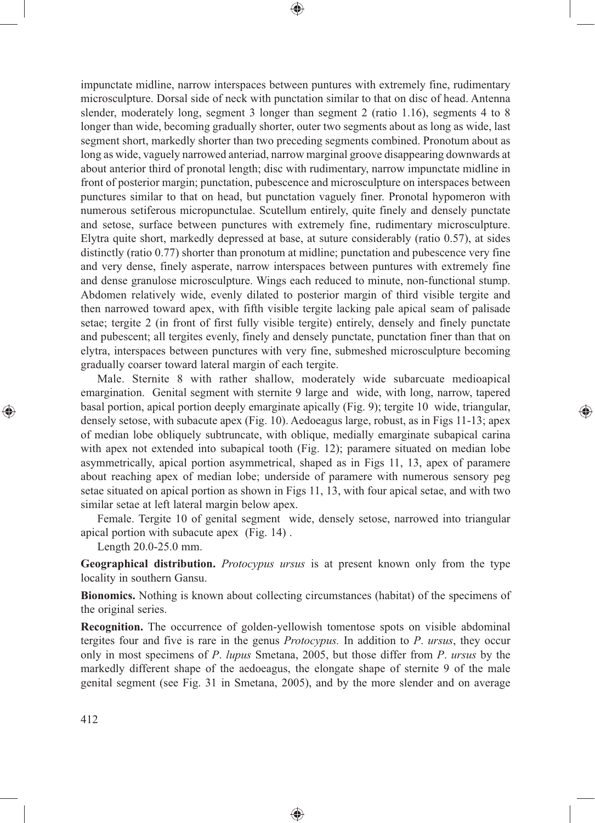impunctate midline, narrow interspaces between puntures with extremely fine, rudimentary microsculpture. Dorsal side of neck with punctation similar to that on disc of head. Antenna slender, moderately long, segment 3 longer than segment 2 (ratio 1.16), segments 4 to 8 longer than wide, becoming gradually shorter, outer two segments about as long as wide, last segment short, markedly shorter than two preceding segments combined. Pronotum about as long as wide, vaguely narrowed anteriad, narrow marginal groove disappearing downwards at about anterior third of pronotal length; disc with rudimentary, narrow impunctate midline in front of posterior margin; punctation, pubescence and microsculpture on interspaces between punctures similar to that on head, but punctation vaguely finer. Pronotal hypomeron with numerous setiferous micropunctulae. Scutellum entirely, quite finely and densely punctate and setose, surface between punctures with extremely fine, rudimentary microsculpture. Elytra quite short, markedly depressed at base, at suture considerably (ratio 0.57), at sides distinctly (ratio 0.77) shorter than pronotum at midline; punctation and pubescence very fine and very dense, finely asperate, narrow interspaces between puntures with extremely fine and dense granulose microsculpture. Wings each reduced to minute, non-functional stump. Abdomen relatively wide, evenly dilated to posterior margin of third visible tergite and then narrowed toward apex, with fifth visible tergite lacking pale apical seam of palisade setae; tergite 2 (in front of first fully visible tergite) entirely, densely and finely punctate and pubescent; all tergites evenly, finely and densely punctate, punctation finer than that on elytra, interspaces between punctures with very fine, submeshed microsculpture becoming gradually coarser toward lateral margin of each tergite.

⊕

Male. Sternite 8 with rather shallow, moderately wide subarcuate medioapical emargination. Genital segment with sternite 9 large and wide, with long, narrow, tapered basal portion, apical portion deeply emarginate apically (Fig. 9); tergite 10 wide, triangular, densely setose, with subacute apex (Fig. 10). Aedoeagus large, robust, as in Figs 11-13; apex of median lobe obliquely subtruncate, with oblique, medially emarginate subapical carina with apex not extended into subapical tooth (Fig. 12); paramere situated on median lobe asymmetrically, apical portion asymmetrical, shaped as in Figs 11, 13, apex of paramere about reaching apex of median lobe; underside of paramere with numerous sensory peg setae situated on apical portion as shown in Figs 11, 13, with four apical setae, and with two similar setae at left lateral margin below apex.

⊕

Female. Tergite 10 of genital segment wide, densely setose, narrowed into triangular apical portion with subacute apex (Fig. 14) .

Length 20.0-25.0 mm.

**Geographical distribution.** *Protocypus ursus* is at present known only from the type locality in southern Gansu.

**Bionomics.** Nothing is known about collecting circumstances (habitat) of the specimens of the original series.

**Recognition.** The occurrence of golden-yellowish tomentose spots on visible abdominal tergites four and five is rare in the genus *Protocypus.* In addition to *P*. *ursus*, they occur only in most specimens of *P*. *lupus* Smetana, 2005, but those differ from *P*. *ursus* by the markedly different shape of the aedoeagus, the elongate shape of sternite 9 of the male genital segment (see Fig. 31 in Smetana, 2005), and by the more slender and on average

◈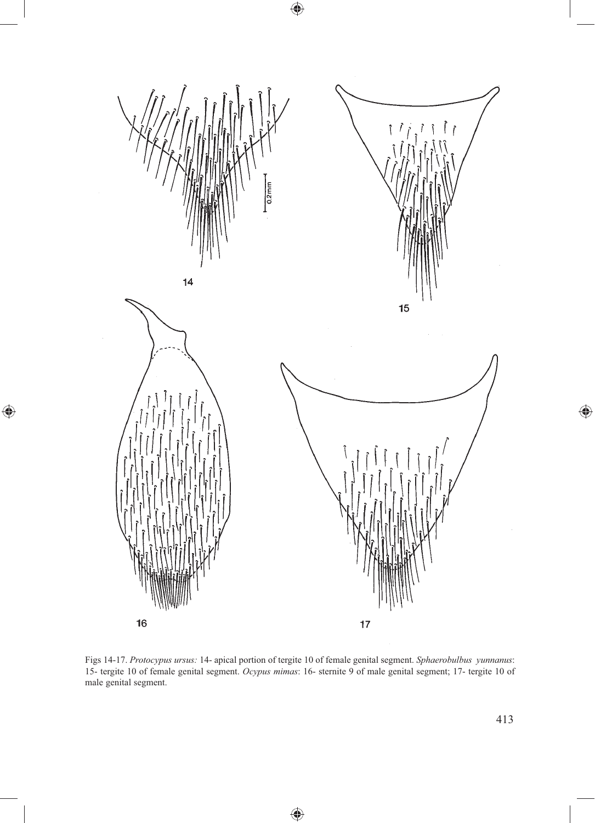

 $\bigoplus$ 

 $\bigoplus$ 

Figs 14-17. *Protocypus ursus:* 14- apical portion of tergite 10 of female genital segment. *Sphaerobulbus yunnanus*: 15- tergite 10 of female genital segment. *Ocypus mimas*: 16- sternite 9 of male genital segment; 17- tergite 10 of male genital segment.

♠

 $\bigoplus$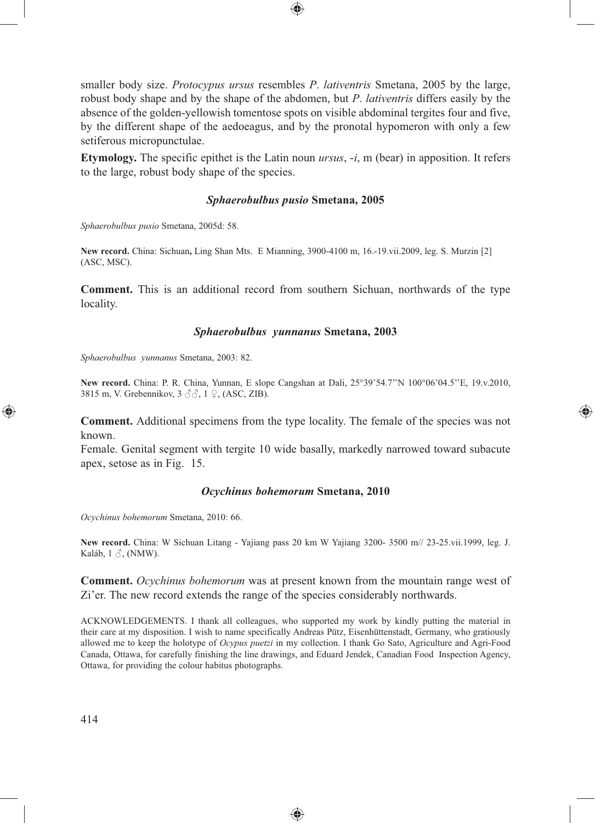smaller body size. *Protocypus ursus* resembles *P*. *lativentris* Smetana, 2005 by the large, robust body shape and by the shape of the abdomen, but *P*. *lativentris* differs easily by the absence of the golden-yellowish tomentose spots on visible abdominal tergites four and five, by the different shape of the aedoeagus, and by the pronotal hypomeron with only a few setiferous micropunctulae.

⊕

**Etymology.** The specific epithet is the Latin noun *ursus*, -*i*, m (bear) in apposition. It refers to the large, robust body shape of the species.

#### *Sphaerobulbus pusio* **Smetana, 2005**

*Sphaerobulbus pusio* Smetana, 2005d: 58.

**New record.** China: Sichuan**,** Ling Shan Mts. E Mianning, 3900-4100 m, 16.-19.vii.2009, leg. S. Murzin [2] (ASC, MSC).

**Comment.** This is an additional record from southern Sichuan, northwards of the type locality.

#### *Sphaerobulbus yunnanus* **Smetana, 2003**

*Sphaerobulbus yunnanus* Smetana, 2003: 82.

**New record.** China: P. R. China, Yunnan, E slope Cangshan at Dali, 25°39'54.7''N 100°06'04.5''E, 19.v.2010, 3815 m, V. Grebennikov, 3 ♂♂, 1 ♀, (ASC, ZIB).

**Comment.** Additional specimens from the type locality. The female of the species was not known.

⊕

Female. Genital segment with tergite 10 wide basally, markedly narrowed toward subacute apex, setose as in Fig. 15.

#### *Ocychinus bohemorum* **Smetana, 2010**

*Ocychinus bohemorum* Smetana, 2010: 66.

**New record.** China: W Sichuan Litang - Yajiang pass 20 km W Yajiang 3200- 3500 m// 23-25.vii.1999, leg. J. Kaláb,  $1 \circledcirc$ , (NMW).

**Comment.** *Ocychinus bohemorum* was at present known from the mountain range west of Zi'er. The new record extends the range of the species considerably northwards.

ACKNOWLEDGEMENTS. I thank all colleagues, who supported my work by kindly putting the material in their care at my disposition. I wish to name specifically Andreas Pütz, Eisenhüttenstadt, Germany, who gratiously allowed me to keep the holotype of *Ocypus puetzi* in my collection. I thank Go Sato, Agriculture and Agri-Food Canada, Ottawa, for carefully finishing the line drawings, and Eduard Jendek, Canadian Food Inspection Agency, Ottawa, for providing the colour habitus photographs.

⊕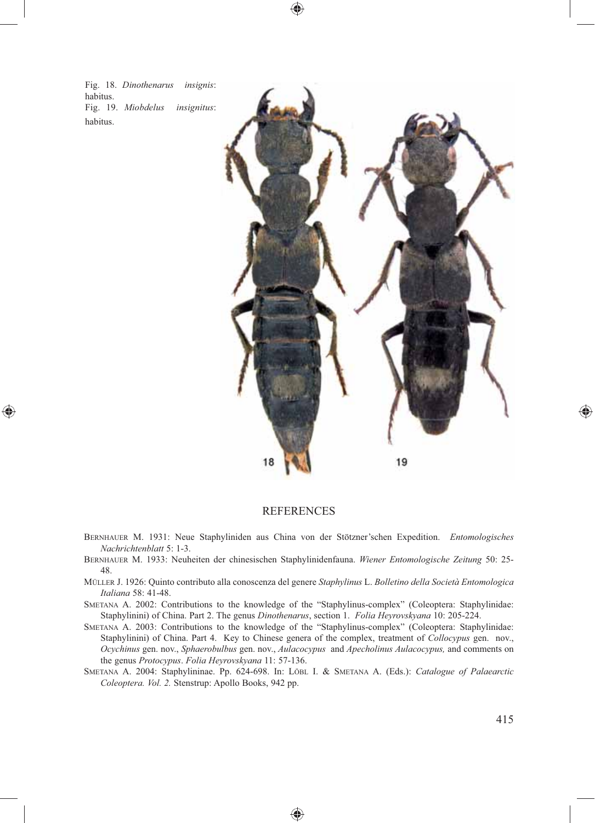Fig. 18. *Dinothenarus insignis*: habitus. Fig. 19. *Miobdelus insignitus*: habitus.

◈



# **REFERENCES**

⊕

- BERNHAUER M. 1931: Neue Staphyliniden aus China von der Stötzner'schen Expedition. *Entomologisches Nachrichtenblatt* 5: 1-3.
- BERNHAUER M. 1933: Neuheiten der chinesischen Staphylinidenfauna. *Wiener Entomologische Zeitung* 50: 25- 48.
- MÜLLER J. 1926: Quinto contributo alla conoscenza del genere *Staphylinus* L. *Bolletino della Società Entomologica Italiana* 58: 41-48.
- SMETANA A. 2002: Contributions to the knowledge of the "Staphylinus-complex" (Coleoptera: Staphylinidae: Staphylinini) of China. Part 2. The genus *Dinothenarus*, section 1. *Folia Heyrovskyana* 10: 205-224.
- SMETANA A. 2003: Contributions to the knowledge of the "Staphylinus-complex" (Coleoptera: Staphylinidae: Staphylinini) of China. Part 4. Key to Chinese genera of the complex, treatment of *Collocypus* gen. nov., *Ocychinus* gen. nov., *Sphaerobulbus* gen. nov., *Aulacocypus* and *Apecholinus Aulacocypus,* and comments on the genus *Protocypus*. *Folia Heyrovskyana* 11: 57-136.
- SMETANA A. 2004: Staphylininae. Pp. 624-698. In: LÖBL I. & SMETANA A. (Eds.): *Catalogue of Palaearctic Coleoptera. Vol. 2.* Stenstrup: Apollo Books, 942 pp.

⊕

◈